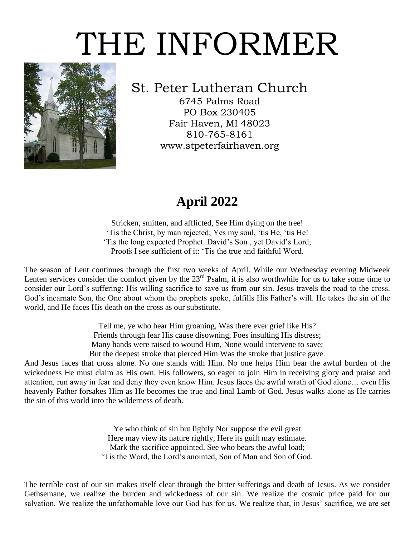# THE INFORMER



## St. Peter Lutheran Church

6745 Palms Road PO Box 230405 Fair Haven, MI 48023 810-765-8161 www.stpeterfairhaven.org

## **April 2022**

Stricken, smitten, and afflicted, See Him dying on the tree! 'Tis the Christ, by man rejected; Yes my soul, 'tis He, 'tis He! 'Tis the long expected Prophet. David's Son , yet David's Lord; Proofs I see sufficient of it: 'Tis the true and faithful Word.

The season of Lent continues through the first two weeks of April. While our Wednesday evening Midweek Lenten services consider the comfort given by the  $23<sup>rd</sup>$  Psalm, it is also worthwhile for us to take some time to consider our Lord's suffering: His willing sacrifice to save us from our sin. Jesus travels the road to the cross. God's incarnate Son, the One about whom the prophets spoke, fulfills His Father's will. He takes the sin of the world, and He faces His death on the cross as our substitute.

> Tell me, ye who hear Him groaning, Was there ever grief like His? Friends through fear His cause disowning, Foes insulting His distress; Many hands were raised to wound Him, None would intervene to save; But the deepest stroke that pierced Him Was the stroke that justice gave.

And Jesus faces that cross alone. No one stands with Him. No one helps Him bear the awful burden of the wickedness He must claim as His own. His followers, so eager to join Him in receiving glory and praise and attention, run away in fear and deny they even know Him. Jesus faces the awful wrath of God alone… even His heavenly Father forsakes Him as He becomes the true and final Lamb of God. Jesus walks alone as He carries the sin of this world into the wilderness of death.

> Ye who think of sin but lightly Nor suppose the evil great Here may view its nature rightly, Here its guilt may estimate. Mark the sacrifice appointed, See who bears the awful load; 'Tis the Word, the Lord's anointed, Son of Man and Son of God.

The terrible cost of our sin makes itself clear through the bitter sufferings and death of Jesus. As we consider Gethsemane, we realize the burden and wickedness of our sin. We realize the cosmic price paid for our salvation. We realize the unfathomable love our God has for us. We realize that, in Jesus' sacrifice, we are set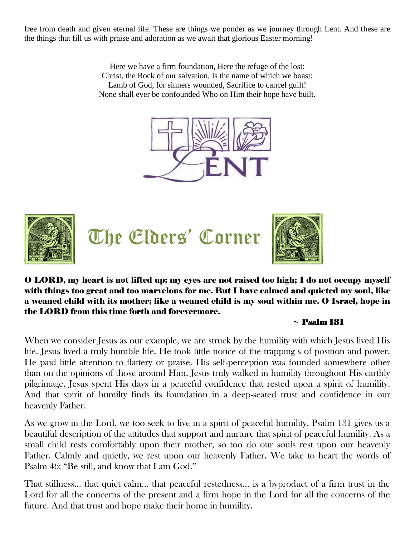free from death and given eternal life. These are things we ponder as we journey through Lent. And these are the things that fill us with praise and adoration as we await that glorious Easter morning!

> Here we have a firm foundation, Here the refuge of the lost: Christ, the Rock of our salvation, Is the name of which we boast; Lamb of God, for sinners wounded, Sacrifice to cancel guilt! None shall ever be confounded Who on Him their hope have built.





The Elders' Corner



O LORD, my heart is not lifted up; my eyes are not raised too high; I do not occupy myself with things too great and too marvelous for me. But I have calmed and quieted my soul, like a weaned child with its mother; like a weaned child is my soul within me. O Israel, hope in the LORD from this time forth and forevermore.

#### $\sim$  Psalm 131

When we consider Jesus as our example, we are struck by the humility with which Jesus lived His life. Jesus lived a truly humble life. He took little notice of the trapping s of position and power. He paid little attention to flattery or praise. His self-perception was founded somewhere other than on the opinions of those around Him. Jesus truly walked in humility throughout His earthly pilgrimage. Jesus spent His days in a peaceful confidence that rested upon a spirit of humility. And that spirit of humilty finds its foundation in a deep-seated trust and confidence in our heavenly Father.

As we grow in the Lord, we too seek to live in a spirit of peaceful humility. Psalm 131 gives us a beautiful description of the attitudes that support and nurture that spirit of peaceful humility. As a small child rests comfortably upon their mother, so too do our souls rest upon our heavenly Father. Calmly and quietly, we rest upon our heavenly Father. We take to heart the words of Psalm 46: "Be still, and know that I am God."

That stillness… that quiet calm… that peaceful restedness… is a byproduct of a firm trust in the Lord for all the concerns of the present and a firm hope in the Lord for all the concerns of the future. And that trust and hope make their home in humility.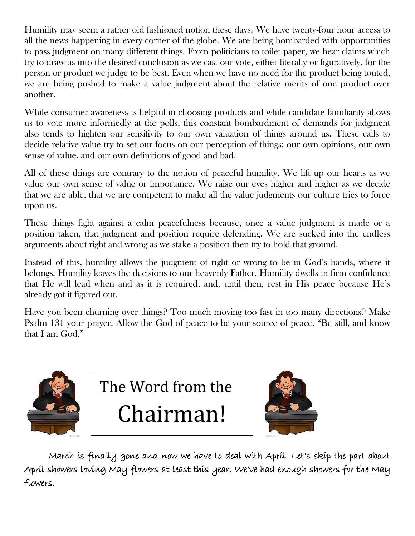Humility may seem a rather old fashioned notion these days. We have twenty-four hour access to all the news happening in every corner of the globe. We are being bombarded with opportunities to pass judgment on many different things. From politicians to toilet paper, we hear claims which try to draw us into the desired conclusion as we cast our vote, either literally or figuratively, for the person or product we judge to be best. Even when we have no need for the product being touted, we are being pushed to make a value judgment about the relative merits of one product over another.

While consumer awareness is helpful in choosing products and while candidate familiarity allows us to vote more informedly at the polls, this constant bombardment of demands for judgment also tends to highten our sensitivity to our own valuation of things around us. These calls to decide relative value try to set our focus on our perception of things: our own opinions, our own sense of value, and our own definitions of good and bad.

All of these things are contrary to the notion of peaceful humility. We lift up our hearts as we value our own sense of value or importance. We raise our eyes higher and higher as we decide that we are able, that we are competent to make all the value judgments our culture tries to force upon us.

These things fight against a calm peacefulness because, once a value judgment is made or a position taken, that judgment and position require defending. We are sucked into the endless arguments about right and wrong as we stake a position then try to hold that ground.

Instead of this, humility allows the judgment of right or wrong to be in God's hands, where it belongs. Humility leaves the decisions to our heavenly Father. Humility dwells in firm confidence that He will lead when and as it is required, and, until then, rest in His peace because He's already got it figured out.

Have you been churning over things? Too much moving too fast in too many directions? Make Psalm 131 your prayer. Allow the God of peace to be your source of peace. "Be still, and know that I am God."



The Word from the Chairman!



March is finally gone and now we have to deal with April. Let's skip the part about April showers loving May flowers at least this year. We've had enough showers for the May flowers.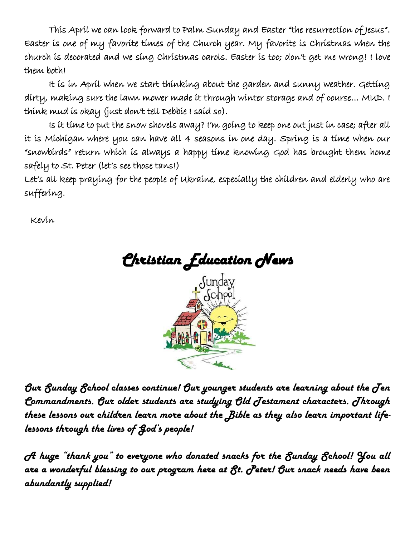This April we can look forward to Palm Sunday and Easter "the resurrection of Jesus". Easter is one of my favorite times of the Church year. My favorite is Christmas when the church is decorated and we sing Christmas carols. Easter is too; don't get me wrong! I love them both!

It is in April when we start thinking about the garden and sunny weather. Getting dirty, making sure the lawn mower made it through winter storage and of course… MUD. I think mud is okay (just don't tell Debbie I said so).

Is it time to put the snow shovels away? I'm going to keep one out just in case; after all it is Michigan where you can have all 4 seasons in one day. Spring is a time when our "snowbirds" return which is always a happy time knowing God has brought them home safely to St. Peter (let's see those tans!)

Let's all keep praying for the people of Ukraine, especially the children and elderly who are suffering.

Kevin



*Our Sunday School classes continue! Our younger students are learning about the Ten Commandments. Our older students are studying Old Testament characters. Through these lessons our children learn more about the Bible as they also learn important lifelessons through the lives of God's people!*

*A huge "thank you" to everyone who donated snacks for the Sunday School! You all are a wonderful blessing to our program here at St. Peter! Our snack needs have been abundantly supplied!*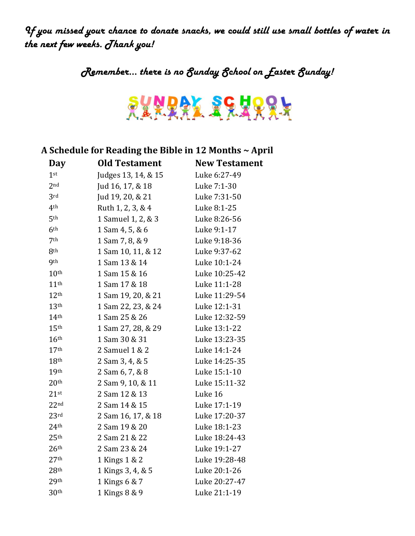*If you missed your chance to donate snacks, we could still use small bottles of water in the next few weeks. Thank you!*

*Remember… there is no Sunday School on Easter Sunday!*



### **A Schedule for Reading the Bible in 12 Months ~ April**

| <b>Old Testament</b> | <b>New Testament</b> |
|----------------------|----------------------|
| Judges 13, 14, & 15  | Luke 6:27-49         |
| Jud 16, 17, & 18     | Luke 7:1-30          |
| Jud 19, 20, & 21     | Luke 7:31-50         |
| Ruth 1, 2, 3, & 4    | Luke 8:1-25          |
| 1 Samuel 1, 2, & 3   | Luke 8:26-56         |
| 1 Sam 4, 5, & 6      | Luke 9:1-17          |
| 1 Sam 7, 8, & 9      | Luke 9:18-36         |
| 1 Sam 10, 11, & 12   | Luke 9:37-62         |
| 1 Sam 13 & 14        | Luke 10:1-24         |
| 1 Sam 15 & 16        | Luke 10:25-42        |
| 1 Sam 17 & 18        | Luke 11:1-28         |
| 1 Sam 19, 20, & 21   | Luke 11:29-54        |
| 1 Sam 22, 23, & 24   | Luke 12:1-31         |
| 1 Sam 25 & 26        | Luke 12:32-59        |
| 1 Sam 27, 28, & 29   | Luke 13:1-22         |
| 1 Sam 30 & 31        | Luke 13:23-35        |
| 2 Samuel 1 & 2       | Luke 14:1-24         |
| 2 Sam 3, 4, & 5      | Luke 14:25-35        |
| 2 Sam 6, 7, & 8      | Luke 15:1-10         |
| 2 Sam 9, 10, & 11    | Luke 15:11-32        |
| 2 Sam 12 & 13        | Luke 16              |
| 2 Sam 14 & 15        | Luke 17:1-19         |
| 2 Sam 16, 17, & 18   | Luke 17:20-37        |
| 2 Sam 19 & 20        | Luke 18:1-23         |
| 2 Sam 21 & 22        | Luke 18:24-43        |
| 2 Sam 23 & 24        | Luke 19:1-27         |
| 1 Kings 1 & 2        | Luke 19:28-48        |
| 1 Kings 3, 4, & 5    | Luke 20:1-26         |
| 1 Kings 6 & 7        | Luke 20:27-47        |
| 1 Kings 8 & 9        | Luke 21:1-19         |
|                      |                      |